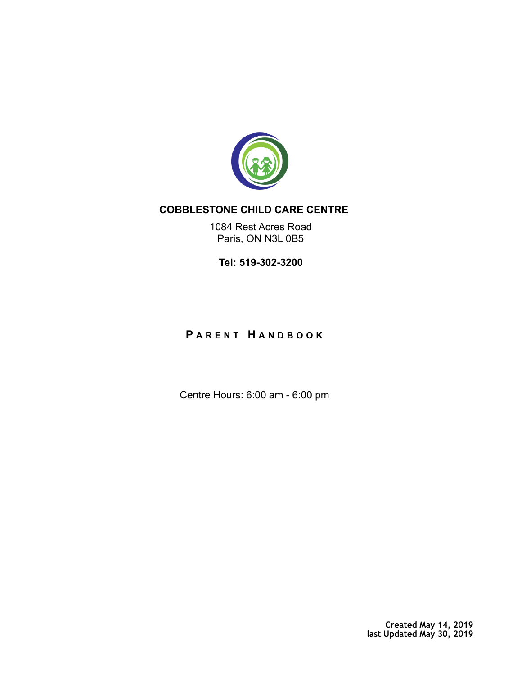

# **COBBLESTONE CHILD CARE CENTRE**

1084 Rest Acres Road Paris, ON N3L 0B5

**Tel: 519-302-3200** 

# **P ARENT H ANDBOOK**

Centre Hours: 6:00 am - 6:00 pm

**Created May 14, 2019 last Updated May 30, 2019**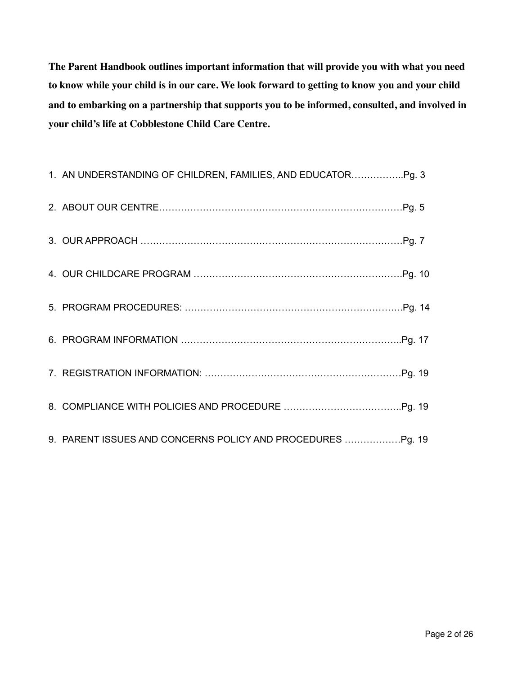**The Parent Handbook outlines important information that will provide you with what you need to know while your child is in our care. We look forward to getting to know you and your child and to embarking on a partnership that supports you to be informed, consulted, and involved in your child's life at Cobblestone Child Care Centre.**

| 9. PARENT ISSUES AND CONCERNS POLICY AND PROCEDURES |  |
|-----------------------------------------------------|--|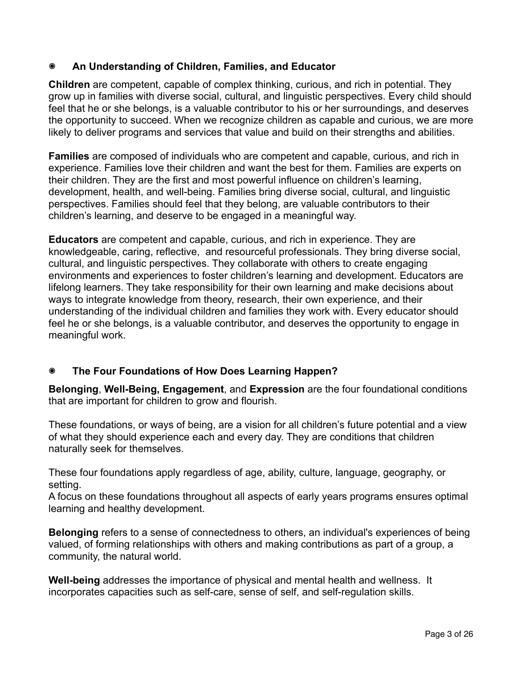## **๏ An Understanding of Children, Families, and Educator**

**Children** are competent, capable of complex thinking, curious, and rich in potential. They grow up in families with diverse social, cultural, and linguistic perspectives. Every child should feel that he or she belongs, is a valuable contributor to his or her surroundings, and deserves the opportunity to succeed. When we recognize children as capable and curious, we are more likely to deliver programs and services that value and build on their strengths and abilities.

**Families** are composed of individuals who are competent and capable, curious, and rich in experience. Families love their children and want the best for them. Families are experts on their children. They are the first and most powerful influence on children's learning, development, health, and well-being. Families bring diverse social, cultural, and linguistic perspectives. Families should feel that they belong, are valuable contributors to their children's learning, and deserve to be engaged in a meaningful way.

**Educators** are competent and capable, curious, and rich in experience. They are knowledgeable, caring, reflective, and resourceful professionals. They bring diverse social, cultural, and linguistic perspectives. They collaborate with others to create engaging environments and experiences to foster children's learning and development. Educators are lifelong learners. They take responsibility for their own learning and make decisions about ways to integrate knowledge from theory, research, their own experience, and their understanding of the individual children and families they work with. Every educator should feel he or she belongs, is a valuable contributor, and deserves the opportunity to engage in meaningful work.

## **๏ The Four Foundations of How Does Learning Happen?**

**Belonging**, **Well-Being, Engagement**, and **Expression** are the four foundational conditions that are important for children to grow and flourish.

These foundations, or ways of being, are a vision for all children's future potential and a view of what they should experience each and every day. They are conditions that children naturally seek for themselves.

These four foundations apply regardless of age, ability, culture, language, geography, or setting.

A focus on these foundations throughout all aspects of early years programs ensures optimal learning and healthy development.

**Belonging** refers to a sense of connectedness to others, an individual's experiences of being valued, of forming relationships with others and making contributions as part of a group, a community, the natural world.

**Well-being** addresses the importance of physical and mental health and wellness. It incorporates capacities such as self-care, sense of self, and self-regulation skills.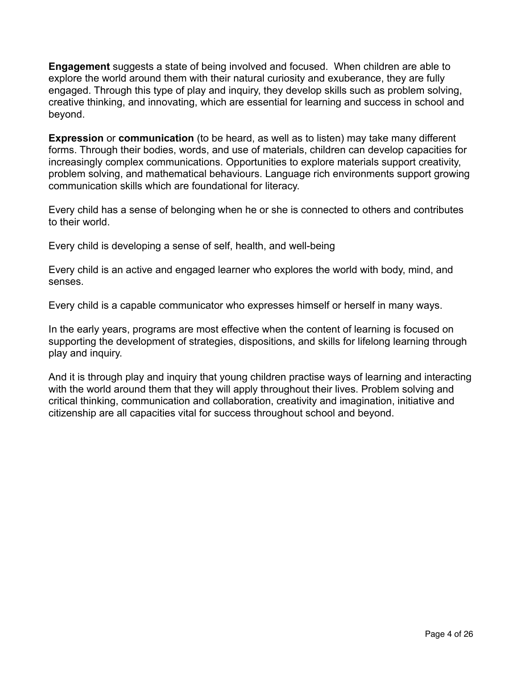**Engagement** suggests a state of being involved and focused. When children are able to explore the world around them with their natural curiosity and exuberance, they are fully engaged. Through this type of play and inquiry, they develop skills such as problem solving, creative thinking, and innovating, which are essential for learning and success in school and beyond.

**Expression** or **communication** (to be heard, as well as to listen) may take many different forms. Through their bodies, words, and use of materials, children can develop capacities for increasingly complex communications. Opportunities to explore materials support creativity, problem solving, and mathematical behaviours. Language rich environments support growing communication skills which are foundational for literacy.

Every child has a sense of belonging when he or she is connected to others and contributes to their world.

Every child is developing a sense of self, health, and well-being

Every child is an active and engaged learner who explores the world with body, mind, and senses.

Every child is a capable communicator who expresses himself or herself in many ways.

In the early years, programs are most effective when the content of learning is focused on supporting the development of strategies, dispositions, and skills for lifelong learning through play and inquiry.

And it is through play and inquiry that young children practise ways of learning and interacting with the world around them that they will apply throughout their lives. Problem solving and critical thinking, communication and collaboration, creativity and imagination, initiative and citizenship are all capacities vital for success throughout school and beyond.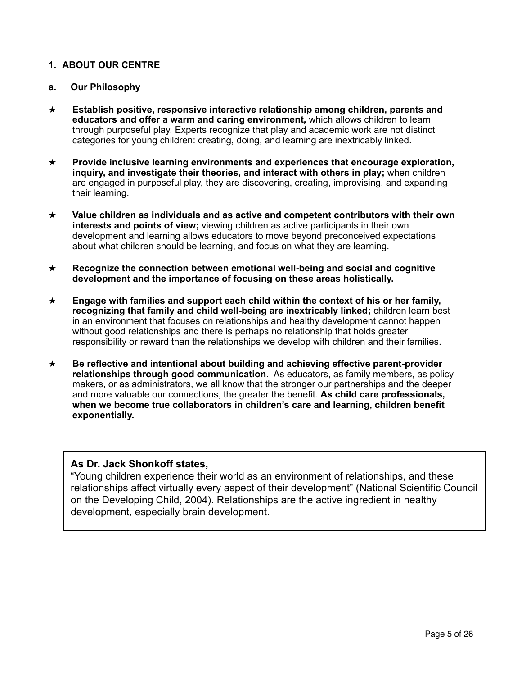## **1. ABOUT OUR CENTRE**

## **a. Our Philosophy**

- ★ **Establish positive, responsive interactive relationship among children, parents and educators and offer a warm and caring environment,** which allows children to learn through purposeful play. Experts recognize that play and academic work are not distinct categories for young children: creating, doing, and learning are inextricably linked.
- ★ **Provide inclusive learning environments and experiences that encourage exploration, inquiry, and investigate their theories, and interact with others in play;** when children are engaged in purposeful play, they are discovering, creating, improvising, and expanding their learning.
- ★ **Value children as individuals and as active and competent contributors with their own interests and points of view;** viewing children as active participants in their own development and learning allows educators to move beyond preconceived expectations about what children should be learning, and focus on what they are learning.
- ★ **Recognize the connection between emotional well-being and social and cognitive development and the importance of focusing on these areas holistically.**
- ★ **Engage with families and support each child within the context of his or her family, recognizing that family and child well-being are inextricably linked;** children learn best in an environment that focuses on relationships and healthy development cannot happen without good relationships and there is perhaps no relationship that holds greater responsibility or reward than the relationships we develop with children and their families.
- ★ **Be reflective and intentional about building and achieving effective parent-provider relationships through good communication.** As educators, as family members, as policy makers, or as administrators, we all know that the stronger our partnerships and the deeper and more valuable our connections, the greater the benefit. **As child care professionals, when we become true collaborators in children's care and learning, children benefit exponentially.**

## **As Dr. Jack Shonkoff states,**

"Young children experience their world as an environment of relationships, and these relationships affect virtually every aspect of their development" (National Scientific Council on the Developing Child, 2004). Relationships are the active ingredient in healthy development, especially brain development.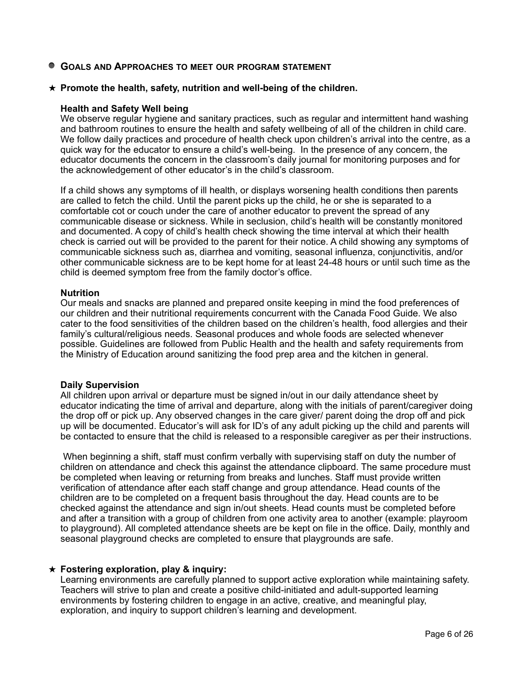**GOALS AND APPROACHES TO MEET OUR PROGRAM STATEMENT**

## ★ **Promote the health, safety, nutrition and well-being of the children.**

#### **Health and Safety Well being**

We observe regular hygiene and sanitary practices, such as regular and intermittent hand washing and bathroom routines to ensure the health and safety wellbeing of all of the children in child care. We follow daily practices and procedure of health check upon children's arrival into the centre, as a quick way for the educator to ensure a child's well-being. In the presence of any concern, the educator documents the concern in the classroom's daily journal for monitoring purposes and for the acknowledgement of other educator's in the child's classroom.

If a child shows any symptoms of ill health, or displays worsening health conditions then parents are called to fetch the child. Until the parent picks up the child, he or she is separated to a comfortable cot or couch under the care of another educator to prevent the spread of any communicable disease or sickness. While in seclusion, child's health will be constantly monitored and documented. A copy of child's health check showing the time interval at which their health check is carried out will be provided to the parent for their notice. A child showing any symptoms of communicable sickness such as, diarrhea and vomiting, seasonal influenza, conjunctivitis, and/or other communicable sickness are to be kept home for at least 24-48 hours or until such time as the child is deemed symptom free from the family doctor's office.

#### **Nutrition**

Our meals and snacks are planned and prepared onsite keeping in mind the food preferences of our children and their nutritional requirements concurrent with the Canada Food Guide. We also cater to the food sensitivities of the children based on the children's health, food allergies and their family's cultural/religious needs. Seasonal produces and whole foods are selected whenever possible. Guidelines are followed from Public Health and the health and safety requirements from the Ministry of Education around sanitizing the food prep area and the kitchen in general.

### **Daily Supervision**

All children upon arrival or departure must be signed in/out in our daily attendance sheet by educator indicating the time of arrival and departure, along with the initials of parent/caregiver doing the drop off or pick up. Any observed changes in the care giver/ parent doing the drop off and pick up will be documented. Educator's will ask for ID's of any adult picking up the child and parents will be contacted to ensure that the child is released to a responsible caregiver as per their instructions.

 When beginning a shift, staff must confirm verbally with supervising staff on duty the number of children on attendance and check this against the attendance clipboard. The same procedure must be completed when leaving or returning from breaks and lunches. Staff must provide written verification of attendance after each staff change and group attendance. Head counts of the children are to be completed on a frequent basis throughout the day. Head counts are to be checked against the attendance and sign in/out sheets. Head counts must be completed before and after a transition with a group of children from one activity area to another (example: playroom to playground). All completed attendance sheets are be kept on file in the office. Daily, monthly and seasonal playground checks are completed to ensure that playgrounds are safe.

### ★ **Fostering exploration, play & inquiry:**

Learning environments are carefully planned to support active exploration while maintaining safety. Teachers will strive to plan and create a positive child-initiated and adult-supported learning environments by fostering children to engage in an active, creative, and meaningful play, exploration, and inquiry to support children's learning and development.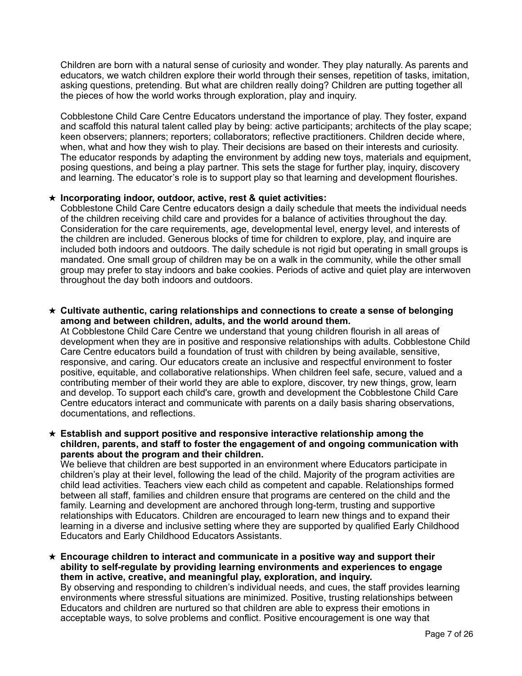Children are born with a natural sense of curiosity and wonder. They play naturally. As parents and educators, we watch children explore their world through their senses, repetition of tasks, imitation, asking questions, pretending. But what are children really doing? Children are putting together all the pieces of how the world works through exploration, play and inquiry.

Cobblestone Child Care Centre Educators understand the importance of play. They foster, expand and scaffold this natural talent called play by being: active participants; architects of the play scape; keen observers; planners; reporters; collaborators; reflective practitioners. Children decide where, when, what and how they wish to play. Their decisions are based on their interests and curiosity. The educator responds by adapting the environment by adding new toys, materials and equipment, posing questions, and being a play partner. This sets the stage for further play, inquiry, discovery and learning. The educator's role is to support play so that learning and development flourishes.

### ★ **Incorporating indoor, outdoor, active, rest & quiet activities:**

Cobblestone Child Care Centre educators design a daily schedule that meets the individual needs of the children receiving child care and provides for a balance of activities throughout the day. Consideration for the care requirements, age, developmental level, energy level, and interests of the children are included. Generous blocks of time for children to explore, play, and inquire are included both indoors and outdoors. The daily schedule is not rigid but operating in small groups is mandated. One small group of children may be on a walk in the community, while the other small group may prefer to stay indoors and bake cookies. Periods of active and quiet play are interwoven throughout the day both indoors and outdoors.

#### ★ **Cultivate authentic, caring relationships and connections to create a sense of belonging among and between children, adults, and the world around them.**

At Cobblestone Child Care Centre we understand that young children flourish in all areas of development when they are in positive and responsive relationships with adults. Cobblestone Child Care Centre educators build a foundation of trust with children by being available, sensitive, responsive, and caring. Our educators create an inclusive and respectful environment to foster positive, equitable, and collaborative relationships. When children feel safe, secure, valued and a contributing member of their world they are able to explore, discover, try new things, grow, learn and develop. To support each child's care, growth and development the Cobblestone Child Care Centre educators interact and communicate with parents on a daily basis sharing observations, documentations, and reflections.

#### ★ **Establish and support positive and responsive interactive relationship among the children, parents, and staff to foster the engagement of and ongoing communication with parents about the program and their children.**

We believe that children are best supported in an environment where Educators participate in children's play at their level, following the lead of the child. Majority of the program activities are child lead activities. Teachers view each child as competent and capable. Relationships formed between all staff, families and children ensure that programs are centered on the child and the family. Learning and development are anchored through long-term, trusting and supportive relationships with Educators. Children are encouraged to learn new things and to expand their learning in a diverse and inclusive setting where they are supported by qualified Early Childhood Educators and Early Childhood Educators Assistants.

★ **Encourage children to interact and communicate in a positive way and support their ability to self-regulate by providing learning environments and experiences to engage them in active, creative, and meaningful play, exploration, and inquiry.**  By observing and responding to children's individual needs, and cues, the staff provides learning environments where stressful situations are minimized. Positive, trusting relationships between Educators and children are nurtured so that children are able to express their emotions in acceptable ways, to solve problems and conflict. Positive encouragement is one way that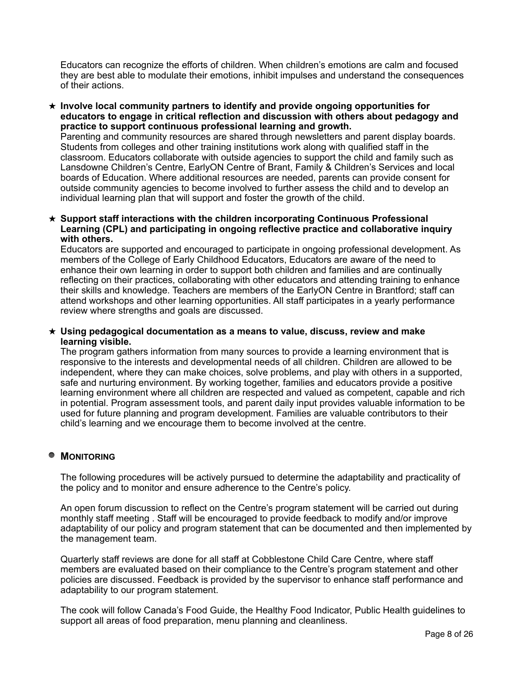Educators can recognize the efforts of children. When children's emotions are calm and focused they are best able to modulate their emotions, inhibit impulses and understand the consequences of their actions.

★ **Involve local community partners to identify and provide ongoing opportunities for educators to engage in critical reflection and discussion with others about pedagogy and practice to support continuous professional learning and growth.** 

Parenting and community resources are shared through newsletters and parent display boards. Students from colleges and other training institutions work along with qualified staff in the classroom. Educators collaborate with outside agencies to support the child and family such as Lansdowne Children's Centre, EarlyON Centre of Brant, Family & Children's Services and local boards of Education. Where additional resources are needed, parents can provide consent for outside community agencies to become involved to further assess the child and to develop an individual learning plan that will support and foster the growth of the child.

★ **Support staff interactions with the children incorporating Continuous Professional Learning (CPL) and participating in ongoing reflective practice and collaborative inquiry with others.** 

Educators are supported and encouraged to participate in ongoing professional development. As members of the College of Early Childhood Educators, Educators are aware of the need to enhance their own learning in order to support both children and families and are continually reflecting on their practices, collaborating with other educators and attending training to enhance their skills and knowledge. Teachers are members of the EarlyON Centre in Brantford; staff can attend workshops and other learning opportunities. All staff participates in a yearly performance review where strengths and goals are discussed.

#### ★ **Using pedagogical documentation as a means to value, discuss, review and make learning visible.**

The program gathers information from many sources to provide a learning environment that is responsive to the interests and developmental needs of all children. Children are allowed to be independent, where they can make choices, solve problems, and play with others in a supported, safe and nurturing environment. By working together, families and educators provide a positive learning environment where all children are respected and valued as competent, capable and rich in potential. Program assessment tools, and parent daily input provides valuable information to be used for future planning and program development. Families are valuable contributors to their child's learning and we encourage them to become involved at the centre.

## **MONITORING**

The following procedures will be actively pursued to determine the adaptability and practicality of the policy and to monitor and ensure adherence to the Centre's policy.

An open forum discussion to reflect on the Centre's program statement will be carried out during monthly staff meeting . Staff will be encouraged to provide feedback to modify and/or improve adaptability of our policy and program statement that can be documented and then implemented by the management team.

Quarterly staff reviews are done for all staff at Cobblestone Child Care Centre, where staff members are evaluated based on their compliance to the Centre's program statement and other policies are discussed. Feedback is provided by the supervisor to enhance staff performance and adaptability to our program statement.

The cook will follow Canada's Food Guide, the Healthy Food Indicator, Public Health guidelines to support all areas of food preparation, menu planning and cleanliness.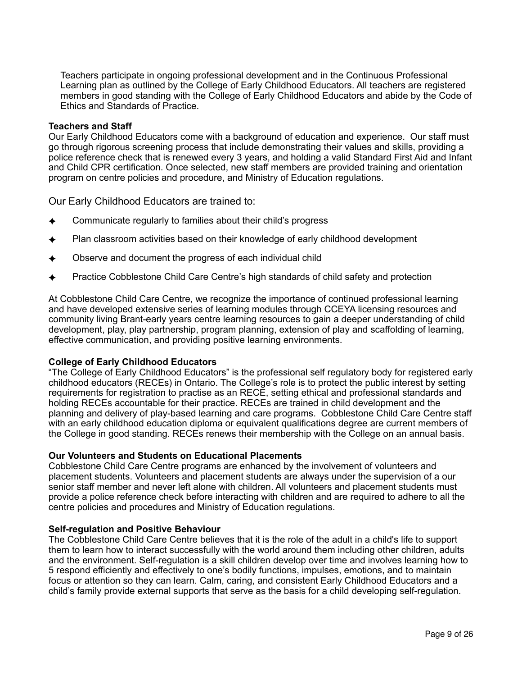Teachers participate in ongoing professional development and in the Continuous Professional Learning plan as outlined by the College of Early Childhood Educators. All teachers are registered members in good standing with the College of Early Childhood Educators and abide by the Code of Ethics and Standards of Practice.

#### **Teachers and Staff**

Our Early Childhood Educators come with a background of education and experience. Our staff must go through rigorous screening process that include demonstrating their values and skills, providing a police reference check that is renewed every 3 years, and holding a valid Standard First Aid and Infant and Child CPR certification. Once selected, new staff members are provided training and orientation program on centre policies and procedure, and Ministry of Education regulations.

Our Early Childhood Educators are trained to:

- Communicate regularly to families about their child's progress
- Plan classroom activities based on their knowledge of early childhood development
- Observe and document the progress of each individual child
- Practice Cobblestone Child Care Centre's high standards of child safety and protection

At Cobblestone Child Care Centre, we recognize the importance of continued professional learning and have developed extensive series of learning modules through CCEYA licensing resources and community living Brant-early years centre learning resources to gain a deeper understanding of child development, play, play partnership, program planning, extension of play and scaffolding of learning, effective communication, and providing positive learning environments.

### **College of Early Childhood Educators**

"The College of Early Childhood Educators" is the professional self regulatory body for registered early childhood educators (RECEs) in Ontario. The College's role is to protect the public interest by setting requirements for registration to practise as an RECE, setting ethical and professional standards and holding RECEs accountable for their practice. RECEs are trained in child development and the planning and delivery of play-based learning and care programs. Cobblestone Child Care Centre staff with an early childhood education diploma or equivalent qualifications degree are current members of the College in good standing. RECEs renews their membership with the College on an annual basis.

### **Our Volunteers and Students on Educational Placements**

Cobblestone Child Care Centre programs are enhanced by the involvement of volunteers and placement students. Volunteers and placement students are always under the supervision of a our senior staff member and never left alone with children. All volunteers and placement students must provide a police reference check before interacting with children and are required to adhere to all the centre policies and procedures and Ministry of Education regulations.

### **Self-regulation and Positive Behaviour**

The Cobblestone Child Care Centre believes that it is the role of the adult in a child's life to support them to learn how to interact successfully with the world around them including other children, adults and the environment. Self-regulation is a skill children develop over time and involves learning how to 5 respond efficiently and effectively to one's bodily functions, impulses, emotions, and to maintain focus or attention so they can learn. Calm, caring, and consistent Early Childhood Educators and a child's family provide external supports that serve as the basis for a child developing self-regulation.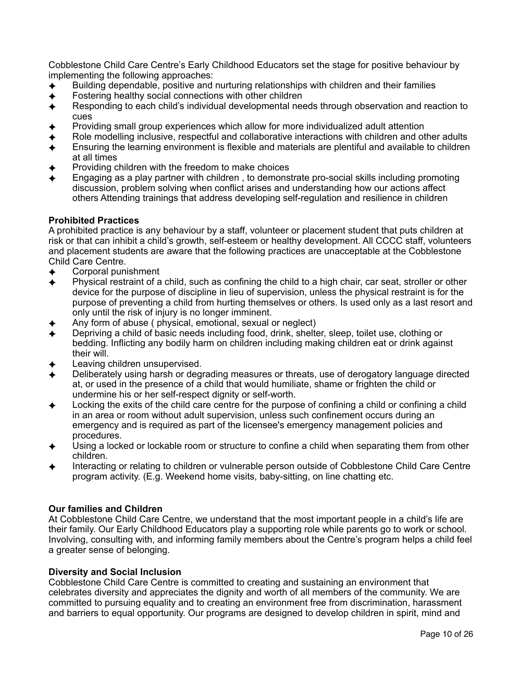Cobblestone Child Care Centre's Early Childhood Educators set the stage for positive behaviour by implementing the following approaches:

- ✦ Building dependable, positive and nurturing relationships with children and their families
- $\leftrightarrow$  Fostering healthy social connections with other children
- ✦ Responding to each child's individual developmental needs through observation and reaction to cues
- Providing small group experiences which allow for more individualized adult attention
- Role modelling inclusive, respectful and collaborative interactions with children and other adults Ensuring the learning environment is flexible and materials are plentiful and available to children
- at all times Providing children with the freedom to make choices
- ✦ Engaging as a play partner with children , to demonstrate pro-social skills including promoting discussion, problem solving when conflict arises and understanding how our actions affect others Attending trainings that address developing self-regulation and resilience in children

## **Prohibited Practices**

A prohibited practice is any behaviour by a staff, volunteer or placement student that puts children at risk or that can inhibit a child's growth, self-esteem or healthy development. All CCCC staff, volunteers and placement students are aware that the following practices are unacceptable at the Cobblestone Child Care Centre.

- Corporal punishment
- ✦ Physical restraint of a child, such as confining the child to a high chair, car seat, stroller or other device for the purpose of discipline in lieu of supervision, unless the physical restraint is for the purpose of preventing a child from hurting themselves or others. Is used only as a last resort and only until the risk of injury is no longer imminent.
- Any form of abuse ( physical, emotional, sexual or neglect)
- Depriving a child of basic needs including food, drink, shelter, sleep, toilet use, clothing or bedding. Inflicting any bodily harm on children including making children eat or drink against their will.
- Leaving children unsupervised.
- Deliberately using harsh or degrading measures or threats, use of derogatory language directed at, or used in the presence of a child that would humiliate, shame or frighten the child or undermine his or her self-respect dignity or self-worth.
- Locking the exits of the child care centre for the purpose of confining a child or confining a child in an area or room without adult supervision, unless such confinement occurs during an emergency and is required as part of the licensee's emergency management policies and procedures.
- Using a locked or lockable room or structure to confine a child when separating them from other children.
- Interacting or relating to children or vulnerable person outside of Cobblestone Child Care Centre program activity. (E.g. Weekend home visits, baby-sitting, on line chatting etc.

## **Our families and Children**

At Cobblestone Child Care Centre, we understand that the most important people in a child's life are their family. Our Early Childhood Educators play a supporting role while parents go to work or school. Involving, consulting with, and informing family members about the Centre's program helps a child feel a greater sense of belonging.

## **Diversity and Social Inclusion**

Cobblestone Child Care Centre is committed to creating and sustaining an environment that celebrates diversity and appreciates the dignity and worth of all members of the community. We are committed to pursuing equality and to creating an environment free from discrimination, harassment and barriers to equal opportunity. Our programs are designed to develop children in spirit, mind and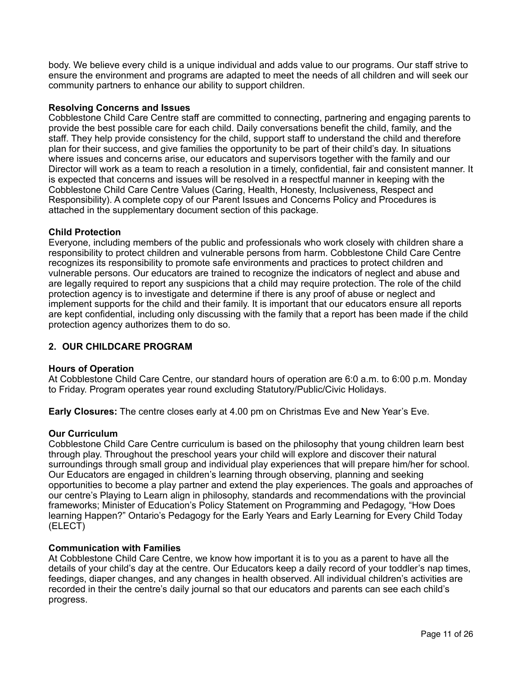body. We believe every child is a unique individual and adds value to our programs. Our staff strive to ensure the environment and programs are adapted to meet the needs of all children and will seek our community partners to enhance our ability to support children.

## **Resolving Concerns and Issues**

Cobblestone Child Care Centre staff are committed to connecting, partnering and engaging parents to provide the best possible care for each child. Daily conversations benefit the child, family, and the staff. They help provide consistency for the child, support staff to understand the child and therefore plan for their success, and give families the opportunity to be part of their child's day. In situations where issues and concerns arise, our educators and supervisors together with the family and our Director will work as a team to reach a resolution in a timely, confidential, fair and consistent manner. It is expected that concerns and issues will be resolved in a respectful manner in keeping with the Cobblestone Child Care Centre Values (Caring, Health, Honesty, Inclusiveness, Respect and Responsibility). A complete copy of our Parent Issues and Concerns Policy and Procedures is attached in the supplementary document section of this package.

## **Child Protection**

Everyone, including members of the public and professionals who work closely with children share a responsibility to protect children and vulnerable persons from harm. Cobblestone Child Care Centre recognizes its responsibility to promote safe environments and practices to protect children and vulnerable persons. Our educators are trained to recognize the indicators of neglect and abuse and are legally required to report any suspicions that a child may require protection. The role of the child protection agency is to investigate and determine if there is any proof of abuse or neglect and implement supports for the child and their family. It is important that our educators ensure all reports are kept confidential, including only discussing with the family that a report has been made if the child protection agency authorizes them to do so.

## **2. OUR CHILDCARE PROGRAM**

### **Hours of Operation**

At Cobblestone Child Care Centre, our standard hours of operation are 6:0 a.m. to 6:00 p.m. Monday to Friday. Program operates year round excluding Statutory/Public/Civic Holidays.

**Early Closures:** The centre closes early at 4.00 pm on Christmas Eve and New Year's Eve.

### **Our Curriculum**

Cobblestone Child Care Centre curriculum is based on the philosophy that young children learn best through play. Throughout the preschool years your child will explore and discover their natural surroundings through small group and individual play experiences that will prepare him/her for school. Our Educators are engaged in children's learning through observing, planning and seeking opportunities to become a play partner and extend the play experiences. The goals and approaches of our centre's Playing to Learn align in philosophy, standards and recommendations with the provincial frameworks; Minister of Education's Policy Statement on Programming and Pedagogy, "How Does learning Happen?" Ontario's Pedagogy for the Early Years and Early Learning for Every Child Today (ELECT)

### **Communication with Families**

At Cobblestone Child Care Centre, we know how important it is to you as a parent to have all the details of your child's day at the centre. Our Educators keep a daily record of your toddler's nap times, feedings, diaper changes, and any changes in health observed. All individual children's activities are recorded in their the centre's daily journal so that our educators and parents can see each child's progress.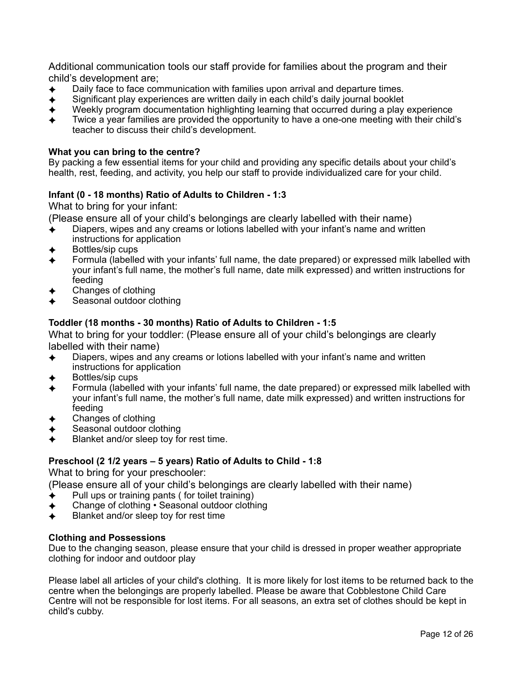Additional communication tools our staff provide for families about the program and their child's development are;

- Daily face to face communication with families upon arrival and departure times.
- ✦ Significant play experiences are written daily in each child's daily journal booklet
- Weekly program documentation highlighting learning that occurred during a play experience
- Twice a year families are provided the opportunity to have a one-one meeting with their child's teacher to discuss their child's development.

## **What you can bring to the centre?**

By packing a few essential items for your child and providing any specific details about your child's health, rest, feeding, and activity, you help our staff to provide individualized care for your child.

## **Infant (0 - 18 months) Ratio of Adults to Children - 1:3**

What to bring for your infant:

(Please ensure all of your child's belongings are clearly labelled with their name)

- Diapers, wipes and any creams or lotions labelled with your infant's name and written instructions for application
- Bottles/sip cups
- Formula (labelled with your infants' full name, the date prepared) or expressed milk labelled with your infant's full name, the mother's full name, date milk expressed) and written instructions for feeding
- Changes of clothing
- Seasonal outdoor clothing

## **Toddler (18 months - 30 months) Ratio of Adults to Children - 1:5**

What to bring for your toddler: (Please ensure all of your child's belongings are clearly labelled with their name)

- ✦ Diapers, wipes and any creams or lotions labelled with your infant's name and written instructions for application
- Bottles/sip cups
- Formula (labelled with your infants' full name, the date prepared) or expressed milk labelled with your infant's full name, the mother's full name, date milk expressed) and written instructions for feeding
- Changes of clothing
- Seasonal outdoor clothing
- Blanket and/or sleep toy for rest time.

### **Preschool (2 1/2 years – 5 years) Ratio of Adults to Child - 1:8**

What to bring for your preschooler:

(Please ensure all of your child's belongings are clearly labelled with their name)

- Pull ups or training pants ( for toilet training)
- Change of clothing Seasonal outdoor clothing
- ✦ Blanket and/or sleep toy for rest time

### **Clothing and Possessions**

Due to the changing season, please ensure that your child is dressed in proper weather appropriate clothing for indoor and outdoor play

Please label all articles of your child's clothing. It is more likely for lost items to be returned back to the centre when the belongings are properly labelled. Please be aware that Cobblestone Child Care Centre will not be responsible for lost items. For all seasons, an extra set of clothes should be kept in child's cubby.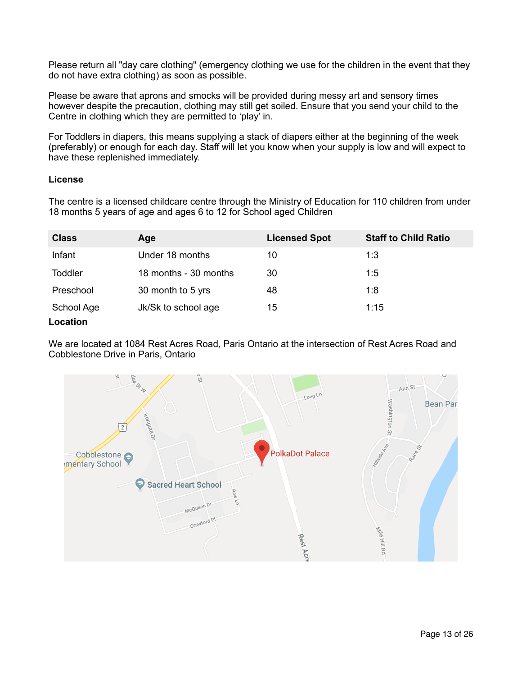Please return all "day care clothing" (emergency clothing we use for the children in the event that they do not have extra clothing) as soon as possible.

Please be aware that aprons and smocks will be provided during messy art and sensory times however despite the precaution, clothing may still get soiled. Ensure that you send your child to the Centre in clothing which they are permitted to 'play' in.

For Toddlers in diapers, this means supplying a stack of diapers either at the beginning of the week (preferably) or enough for each day. Staff will let you know when your supply is low and will expect to have these replenished immediately.

### **License**

The centre is a licensed childcare centre through the Ministry of Education for 110 children from under 18 months 5 years of age and ages 6 to 12 for School aged Children

| <b>Class</b>   | Age                   | <b>Licensed Spot</b> | <b>Staff to Child Ratio</b> |
|----------------|-----------------------|----------------------|-----------------------------|
| Infant         | Under 18 months       | 10                   | 1:3                         |
| <b>Toddler</b> | 18 months - 30 months | 30                   | 1:5                         |
| Preschool      | 30 month to 5 yrs     | 48                   | 1:8                         |
| School Age     | Jk/Sk to school age   | 15                   | 1:15                        |
| Location       |                       |                      |                             |

We are located at 1084 Rest Acres Road, Paris Ontario at the intersection of Rest Acres Road and Cobblestone Drive in Paris, Ontario

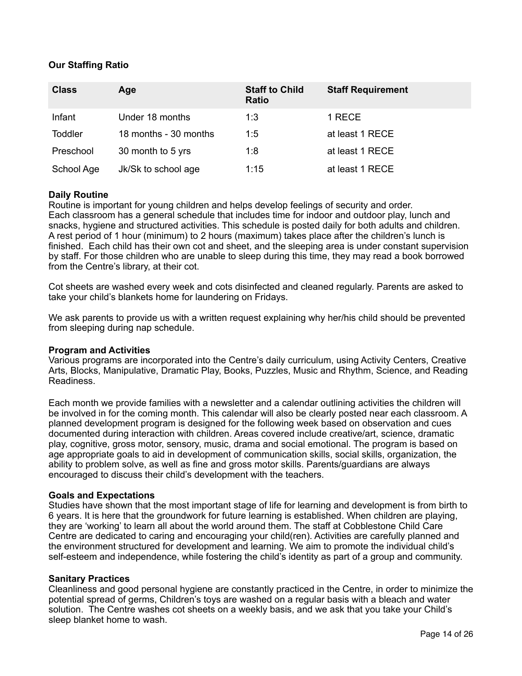## **Our Staffing Ratio**

| <b>Class</b>   | Age                   | <b>Staff to Child</b><br><b>Ratio</b> | <b>Staff Requirement</b> |
|----------------|-----------------------|---------------------------------------|--------------------------|
| Infant         | Under 18 months       | 1:3                                   | 1 RECE                   |
| <b>Toddler</b> | 18 months - 30 months | 1:5                                   | at least 1 RECE          |
| Preschool      | 30 month to 5 yrs     | 1:8                                   | at least 1 RECE          |
| School Age     | Jk/Sk to school age   | 1:15                                  | at least 1 RECE          |

### **Daily Routine**

Routine is important for young children and helps develop feelings of security and order. Each classroom has a general schedule that includes time for indoor and outdoor play, lunch and snacks, hygiene and structured activities. This schedule is posted daily for both adults and children. A rest period of 1 hour (minimum) to 2 hours (maximum) takes place after the children's lunch is finished. Each child has their own cot and sheet, and the sleeping area is under constant supervision by staff. For those children who are unable to sleep during this time, they may read a book borrowed from the Centre's library, at their cot.

Cot sheets are washed every week and cots disinfected and cleaned regularly. Parents are asked to take your child's blankets home for laundering on Fridays.

We ask parents to provide us with a written request explaining why her/his child should be prevented from sleeping during nap schedule.

#### **Program and Activities**

Various programs are incorporated into the Centre's daily curriculum, using Activity Centers, Creative Arts, Blocks, Manipulative, Dramatic Play, Books, Puzzles, Music and Rhythm, Science, and Reading Readiness.

Each month we provide families with a newsletter and a calendar outlining activities the children will be involved in for the coming month. This calendar will also be clearly posted near each classroom. A planned development program is designed for the following week based on observation and cues documented during interaction with children. Areas covered include creative/art, science, dramatic play, cognitive, gross motor, sensory, music, drama and social emotional. The program is based on age appropriate goals to aid in development of communication skills, social skills, organization, the ability to problem solve, as well as fine and gross motor skills. Parents/guardians are always encouraged to discuss their child's development with the teachers.

#### **Goals and Expectations**

Studies have shown that the most important stage of life for learning and development is from birth to 6 years. It is here that the groundwork for future learning is established. When children are playing, they are 'working' to learn all about the world around them. The staff at Cobblestone Child Care Centre are dedicated to caring and encouraging your child(ren). Activities are carefully planned and the environment structured for development and learning. We aim to promote the individual child's self-esteem and independence, while fostering the child's identity as part of a group and community.

#### **Sanitary Practices**

Cleanliness and good personal hygiene are constantly practiced in the Centre, in order to minimize the potential spread of germs, Children's toys are washed on a regular basis with a bleach and water solution. The Centre washes cot sheets on a weekly basis, and we ask that you take your Child's sleep blanket home to wash.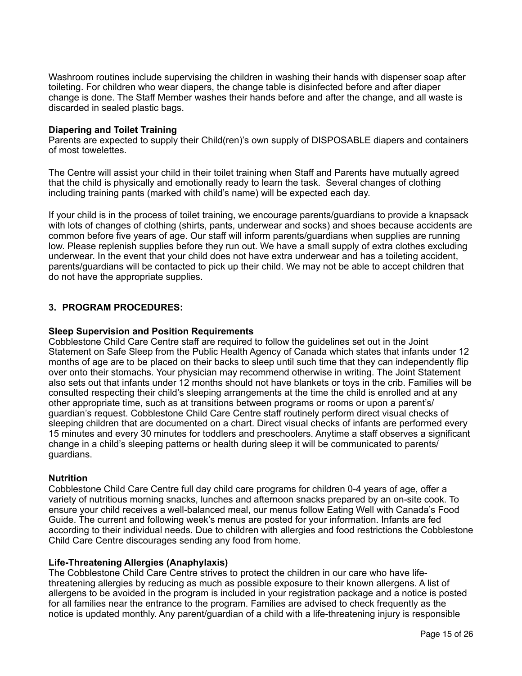Washroom routines include supervising the children in washing their hands with dispenser soap after toileting. For children who wear diapers, the change table is disinfected before and after diaper change is done. The Staff Member washes their hands before and after the change, and all waste is discarded in sealed plastic bags.

### **Diapering and Toilet Training**

Parents are expected to supply their Child(ren)'s own supply of DISPOSABLE diapers and containers of most towelettes.

The Centre will assist your child in their toilet training when Staff and Parents have mutually agreed that the child is physically and emotionally ready to learn the task. Several changes of clothing including training pants (marked with child's name) will be expected each day.

If your child is in the process of toilet training, we encourage parents/guardians to provide a knapsack with lots of changes of clothing (shirts, pants, underwear and socks) and shoes because accidents are common before five years of age. Our staff will inform parents/guardians when supplies are running low. Please replenish supplies before they run out. We have a small supply of extra clothes excluding underwear. In the event that your child does not have extra underwear and has a toileting accident, parents/guardians will be contacted to pick up their child. We may not be able to accept children that do not have the appropriate supplies.

### **3. PROGRAM PROCEDURES:**

#### **Sleep Supervision and Position Requirements**

Cobblestone Child Care Centre staff are required to follow the guidelines set out in the Joint Statement on Safe Sleep from the Public Health Agency of Canada which states that infants under 12 months of age are to be placed on their backs to sleep until such time that they can independently flip over onto their stomachs. Your physician may recommend otherwise in writing. The Joint Statement also sets out that infants under 12 months should not have blankets or toys in the crib. Families will be consulted respecting their child's sleeping arrangements at the time the child is enrolled and at any other appropriate time, such as at transitions between programs or rooms or upon a parent's/ guardian's request. Cobblestone Child Care Centre staff routinely perform direct visual checks of sleeping children that are documented on a chart. Direct visual checks of infants are performed every 15 minutes and every 30 minutes for toddlers and preschoolers. Anytime a staff observes a significant change in a child's sleeping patterns or health during sleep it will be communicated to parents/ guardians.

### **Nutrition**

Cobblestone Child Care Centre full day child care programs for children 0-4 years of age, offer a variety of nutritious morning snacks, lunches and afternoon snacks prepared by an on-site cook. To ensure your child receives a well-balanced meal, our menus follow Eating Well with Canada's Food Guide. The current and following week's menus are posted for your information. Infants are fed according to their individual needs. Due to children with allergies and food restrictions the Cobblestone Child Care Centre discourages sending any food from home.

#### **Life-Threatening Allergies (Anaphylaxis)**

The Cobblestone Child Care Centre strives to protect the children in our care who have lifethreatening allergies by reducing as much as possible exposure to their known allergens. A list of allergens to be avoided in the program is included in your registration package and a notice is posted for all families near the entrance to the program. Families are advised to check frequently as the notice is updated monthly. Any parent/guardian of a child with a life-threatening injury is responsible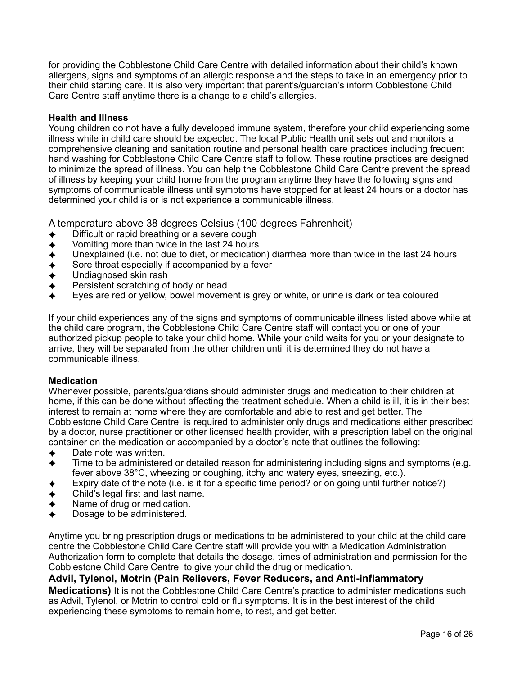for providing the Cobblestone Child Care Centre with detailed information about their child's known allergens, signs and symptoms of an allergic response and the steps to take in an emergency prior to their child starting care. It is also very important that parent's/guardian's inform Cobblestone Child Care Centre staff anytime there is a change to a child's allergies.

## **Health and Illness**

Young children do not have a fully developed immune system, therefore your child experiencing some illness while in child care should be expected. The local Public Health unit sets out and monitors a comprehensive cleaning and sanitation routine and personal health care practices including frequent hand washing for Cobblestone Child Care Centre staff to follow. These routine practices are designed to minimize the spread of illness. You can help the Cobblestone Child Care Centre prevent the spread of illness by keeping your child home from the program anytime they have the following signs and symptoms of communicable illness until symptoms have stopped for at least 24 hours or a doctor has determined your child is or is not experience a communicable illness.

A temperature above 38 degrees Celsius (100 degrees Fahrenheit)

- Difficult or rapid breathing or a severe cough
- Vomiting more than twice in the last 24 hours
- Unexplained (i.e. not due to diet, or medication) diarrhea more than twice in the last 24 hours
- Sore throat especially if accompanied by a fever
- Undiagnosed skin rash
- Persistent scratching of body or head
- Eyes are red or yellow, bowel movement is grey or white, or urine is dark or tea coloured

If your child experiences any of the signs and symptoms of communicable illness listed above while at the child care program, the Cobblestone Child Care Centre staff will contact you or one of your authorized pickup people to take your child home. While your child waits for you or your designate to arrive, they will be separated from the other children until it is determined they do not have a communicable illness.

### **Medication**

Whenever possible, parents/guardians should administer drugs and medication to their children at home, if this can be done without affecting the treatment schedule. When a child is ill, it is in their best interest to remain at home where they are comfortable and able to rest and get better. The Cobblestone Child Care Centre is required to administer only drugs and medications either prescribed by a doctor, nurse practitioner or other licensed health provider, with a prescription label on the original container on the medication or accompanied by a doctor's note that outlines the following:

- Date note was written.
- Time to be administered or detailed reason for administering including signs and symptoms (e.g. fever above 38°C, wheezing or coughing, itchy and watery eyes, sneezing, etc.).
- Expiry date of the note (i.e. is it for a specific time period? or on going until further notice?)
- Child's legal first and last name.
- Name of drug or medication.
- Dosage to be administered.

Anytime you bring prescription drugs or medications to be administered to your child at the child care centre the Cobblestone Child Care Centre staff will provide you with a Medication Administration Authorization form to complete that details the dosage, times of administration and permission for the Cobblestone Child Care Centre to give your child the drug or medication.

## **Advil, Tylenol, Motrin (Pain Relievers, Fever Reducers, and Anti-inflammatory**

**Medications)** It is not the Cobblestone Child Care Centre's practice to administer medications such as Advil, Tylenol, or Motrin to control cold or flu symptoms. It is in the best interest of the child experiencing these symptoms to remain home, to rest, and get better.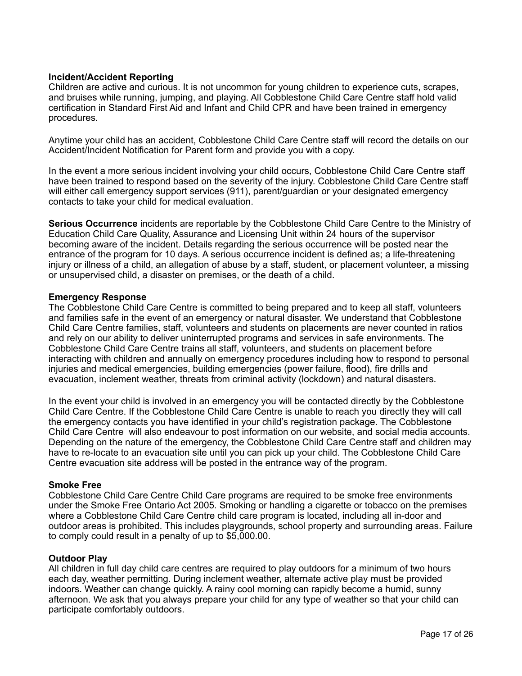## **Incident/Accident Reporting**

Children are active and curious. It is not uncommon for young children to experience cuts, scrapes, and bruises while running, jumping, and playing. All Cobblestone Child Care Centre staff hold valid certification in Standard First Aid and Infant and Child CPR and have been trained in emergency procedures.

Anytime your child has an accident, Cobblestone Child Care Centre staff will record the details on our Accident/Incident Notification for Parent form and provide you with a copy.

In the event a more serious incident involving your child occurs, Cobblestone Child Care Centre staff have been trained to respond based on the severity of the injury. Cobblestone Child Care Centre staff will either call emergency support services (911), parent/guardian or your designated emergency contacts to take your child for medical evaluation.

**Serious Occurrence** incidents are reportable by the Cobblestone Child Care Centre to the Ministry of Education Child Care Quality, Assurance and Licensing Unit within 24 hours of the supervisor becoming aware of the incident. Details regarding the serious occurrence will be posted near the entrance of the program for 10 days. A serious occurrence incident is defined as; a life-threatening injury or illness of a child, an allegation of abuse by a staff, student, or placement volunteer, a missing or unsupervised child, a disaster on premises, or the death of a child.

#### **Emergency Response**

The Cobblestone Child Care Centre is committed to being prepared and to keep all staff, volunteers and families safe in the event of an emergency or natural disaster. We understand that Cobblestone Child Care Centre families, staff, volunteers and students on placements are never counted in ratios and rely on our ability to deliver uninterrupted programs and services in safe environments. The Cobblestone Child Care Centre trains all staff, volunteers, and students on placement before interacting with children and annually on emergency procedures including how to respond to personal injuries and medical emergencies, building emergencies (power failure, flood), fire drills and evacuation, inclement weather, threats from criminal activity (lockdown) and natural disasters.

In the event your child is involved in an emergency you will be contacted directly by the Cobblestone Child Care Centre. If the Cobblestone Child Care Centre is unable to reach you directly they will call the emergency contacts you have identified in your child's registration package. The Cobblestone Child Care Centre will also endeavour to post information on our website, and social media accounts. Depending on the nature of the emergency, the Cobblestone Child Care Centre staff and children may have to re-locate to an evacuation site until you can pick up your child. The Cobblestone Child Care Centre evacuation site address will be posted in the entrance way of the program.

### **Smoke Free**

Cobblestone Child Care Centre Child Care programs are required to be smoke free environments under the Smoke Free Ontario Act 2005. Smoking or handling a cigarette or tobacco on the premises where a Cobblestone Child Care Centre child care program is located, including all in-door and outdoor areas is prohibited. This includes playgrounds, school property and surrounding areas. Failure to comply could result in a penalty of up to \$5,000.00.

### **Outdoor Play**

All children in full day child care centres are required to play outdoors for a minimum of two hours each day, weather permitting. During inclement weather, alternate active play must be provided indoors. Weather can change quickly. A rainy cool morning can rapidly become a humid, sunny afternoon. We ask that you always prepare your child for any type of weather so that your child can participate comfortably outdoors.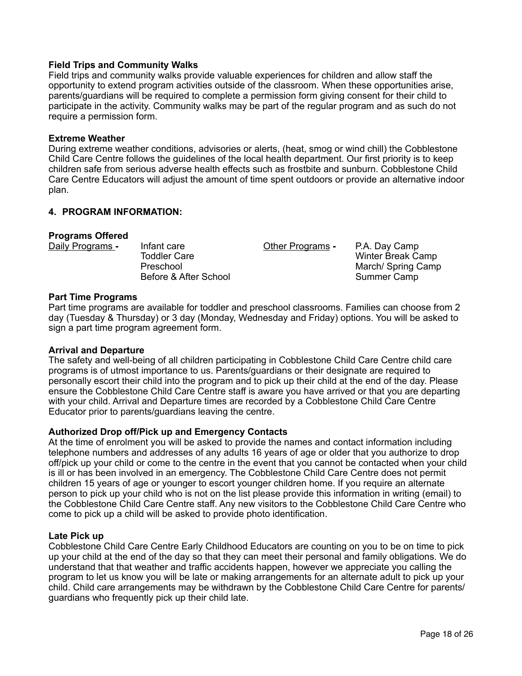## **Field Trips and Community Walks**

Field trips and community walks provide valuable experiences for children and allow staff the opportunity to extend program activities outside of the classroom. When these opportunities arise, parents/guardians will be required to complete a permission form giving consent for their child to participate in the activity. Community walks may be part of the regular program and as such do not require a permission form.

#### **Extreme Weather**

During extreme weather conditions, advisories or alerts, (heat, smog or wind chill) the Cobblestone Child Care Centre follows the guidelines of the local health department. Our first priority is to keep children safe from serious adverse health effects such as frostbite and sunburn. Cobblestone Child Care Centre Educators will adjust the amount of time spent outdoors or provide an alternative indoor plan.

### **4. PROGRAM INFORMATION:**

#### **Programs Offered**

Daily Programs **-** Infant care Other Programs **-** P.A. Day Camp

Winter Break Camp Preschool **March/** Spring Camp Before & After School Summer Camp

#### **Part Time Programs**

Part time programs are available for toddler and preschool classrooms. Families can choose from 2 day (Tuesday & Thursday) or 3 day (Monday, Wednesday and Friday) options. You will be asked to sign a part time program agreement form.

### **Arrival and Departure**

The safety and well-being of all children participating in Cobblestone Child Care Centre child care programs is of utmost importance to us. Parents/guardians or their designate are required to personally escort their child into the program and to pick up their child at the end of the day. Please ensure the Cobblestone Child Care Centre staff is aware you have arrived or that you are departing with your child. Arrival and Departure times are recorded by a Cobblestone Child Care Centre Educator prior to parents/guardians leaving the centre.

### **Authorized Drop off/Pick up and Emergency Contacts**

At the time of enrolment you will be asked to provide the names and contact information including telephone numbers and addresses of any adults 16 years of age or older that you authorize to drop off/pick up your child or come to the centre in the event that you cannot be contacted when your child is ill or has been involved in an emergency. The Cobblestone Child Care Centre does not permit children 15 years of age or younger to escort younger children home. If you require an alternate person to pick up your child who is not on the list please provide this information in writing (email) to the Cobblestone Child Care Centre staff. Any new visitors to the Cobblestone Child Care Centre who come to pick up a child will be asked to provide photo identification.

#### **Late Pick up**

Cobblestone Child Care Centre Early Childhood Educators are counting on you to be on time to pick up your child at the end of the day so that they can meet their personal and family obligations. We do understand that that weather and traffic accidents happen, however we appreciate you calling the program to let us know you will be late or making arrangements for an alternate adult to pick up your child. Child care arrangements may be withdrawn by the Cobblestone Child Care Centre for parents/ guardians who frequently pick up their child late.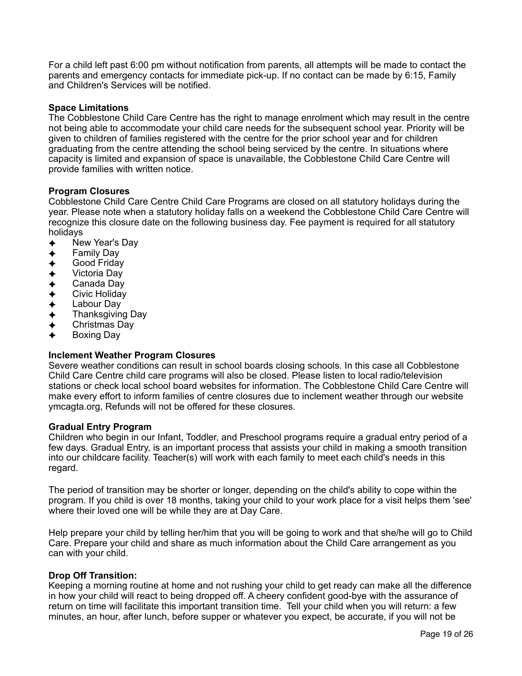For a child left past 6:00 pm without notification from parents, all attempts will be made to contact the parents and emergency contacts for immediate pick-up. If no contact can be made by 6:15, Family and Children's Services will be notified.

### **Space Limitations**

The Cobblestone Child Care Centre has the right to manage enrolment which may result in the centre not being able to accommodate your child care needs for the subsequent school year. Priority will be given to children of families registered with the centre for the prior school year and for children graduating from the centre attending the school being serviced by the centre. In situations where capacity is limited and expansion of space is unavailable, the Cobblestone Child Care Centre will provide families with written notice.

### **Program Closures**

Cobblestone Child Care Centre Child Care Programs are closed on all statutory holidays during the year. Please note when a statutory holiday falls on a weekend the Cobblestone Child Care Centre will recognize this closure date on the following business day. Fee payment is required for all statutory holidays

- New Year's Day
- Family Day
- Good Friday
- Victoria Dav
- Canada Dav
- Civic Holiday
- Labour Day
- **Thanksgiving Day**
- Christmas Day
- Boxing Day

### **Inclement Weather Program Closures**

Severe weather conditions can result in school boards closing schools. In this case all Cobblestone Child Care Centre child care programs will also be closed. Please listen to local radio/television stations or check local school board websites for information. The Cobblestone Child Care Centre will make every effort to inform families of centre closures due to inclement weather through our website ymcagta.org, Refunds will not be offered for these closures.

#### **Gradual Entry Program**

Children who begin in our Infant, Toddler, and Preschool programs require a gradual entry period of a few days. Gradual Entry, is an important process that assists your child in making a smooth transition into our childcare facility. Teacher(s) will work with each family to meet each child's needs in this regard.

The period of transition may be shorter or longer, depending on the child's ability to cope within the program. If you child is over 18 months, taking your child to your work place for a visit helps them 'see' where their loved one will be while they are at Day Care.

Help prepare your child by telling her/him that you will be going to work and that she/he will go to Child Care. Prepare your child and share as much information about the Child Care arrangement as you can with your child.

### **Drop Off Transition:**

Keeping a morning routine at home and not rushing your child to get ready can make all the difference in how your child will react to being dropped off. A cheery confident good-bye with the assurance of return on time will facilitate this important transition time. Tell your child when you will return: a few minutes, an hour, after lunch, before supper or whatever you expect, be accurate, if you will not be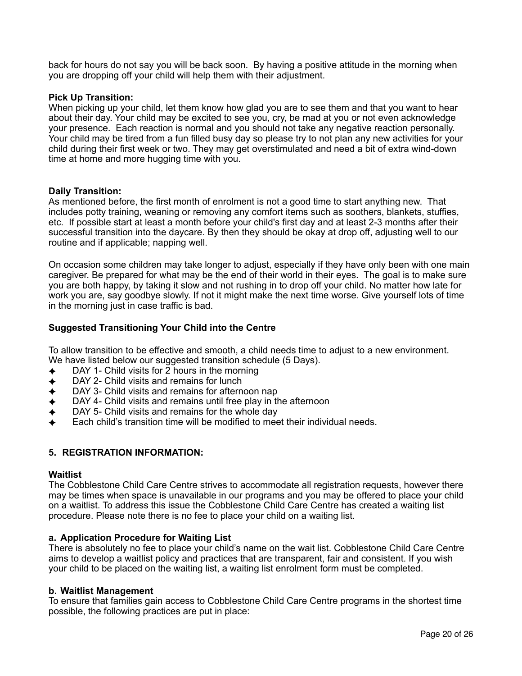back for hours do not say you will be back soon. By having a positive attitude in the morning when you are dropping off your child will help them with their adjustment.

#### **Pick Up Transition:**

When picking up your child, let them know how glad you are to see them and that you want to hear about their day. Your child may be excited to see you, cry, be mad at you or not even acknowledge your presence. Each reaction is normal and you should not take any negative reaction personally. Your child may be tired from a fun filled busy day so please try to not plan any new activities for your child during their first week or two. They may get overstimulated and need a bit of extra wind-down time at home and more hugging time with you.

#### **Daily Transition:**

As mentioned before, the first month of enrolment is not a good time to start anything new. That includes potty training, weaning or removing any comfort items such as soothers, blankets, stuffies, etc. If possible start at least a month before your child's first day and at least 2-3 months after their successful transition into the daycare. By then they should be okay at drop off, adjusting well to our routine and if applicable; napping well.

On occasion some children may take longer to adjust, especially if they have only been with one main caregiver. Be prepared for what may be the end of their world in their eyes. The goal is to make sure you are both happy, by taking it slow and not rushing in to drop off your child. No matter how late for work you are, say goodbye slowly. If not it might make the next time worse. Give yourself lots of time in the morning just in case traffic is bad.

### **Suggested Transitioning Your Child into the Centre**

To allow transition to be effective and smooth, a child needs time to adjust to a new environment. We have listed below our suggested transition schedule (5 Days).

- DAY 1- Child visits for 2 hours in the morning
- DAY 2- Child visits and remains for lunch
- DAY 3- Child visits and remains for afternoon nap
- DAY 4- Child visits and remains until free play in the afternoon
- DAY 5- Child visits and remains for the whole day
- ✦ Each child's transition time will be modified to meet their individual needs.

### **5. REGISTRATION INFORMATION:**

#### **Waitlist**

The Cobblestone Child Care Centre strives to accommodate all registration requests, however there may be times when space is unavailable in our programs and you may be offered to place your child on a waitlist. To address this issue the Cobblestone Child Care Centre has created a waiting list procedure. Please note there is no fee to place your child on a waiting list.

#### **a. Application Procedure for Waiting List**

There is absolutely no fee to place your child's name on the wait list. Cobblestone Child Care Centre aims to develop a waitlist policy and practices that are transparent, fair and consistent. If you wish your child to be placed on the waiting list, a waiting list enrolment form must be completed.

#### **b. Waitlist Management**

To ensure that families gain access to Cobblestone Child Care Centre programs in the shortest time possible, the following practices are put in place: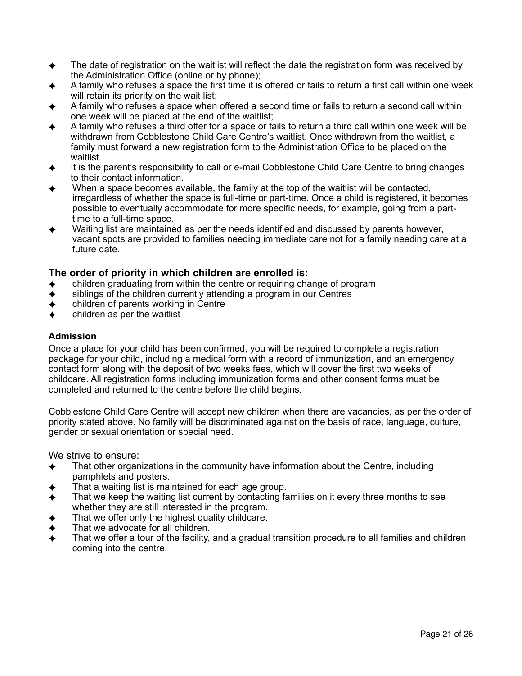- ✦ The date of registration on the waitlist will reflect the date the registration form was received by the Administration Office (online or by phone);
- A family who refuses a space the first time it is offered or fails to return a first call within one week will retain its priority on the wait list;
- ✦ A family who refuses a space when offered a second time or fails to return a second call within one week will be placed at the end of the waitlist;
- ✦ A family who refuses a third offer for a space or fails to return a third call within one week will be withdrawn from Cobblestone Child Care Centre's waitlist. Once withdrawn from the waitlist, a family must forward a new registration form to the Administration Office to be placed on the waitlist.
- It is the parent's responsibility to call or e-mail Cobblestone Child Care Centre to bring changes to their contact information.
- When a space becomes available, the family at the top of the waitlist will be contacted, irregardless of whether the space is full-time or part-time. Once a child is registered, it becomes possible to eventually accommodate for more specific needs, for example, going from a parttime to a full-time space.
- Waiting list are maintained as per the needs identified and discussed by parents however, vacant spots are provided to families needing immediate care not for a family needing care at a future date.

## **The order of priority in which children are enrolled is:**

- children graduating from within the centre or requiring change of program
- siblings of the children currently attending a program in our Centres
- children of parents working in Centre
- children as per the waitlist

### **Admission**

Once a place for your child has been confirmed, you will be required to complete a registration package for your child, including a medical form with a record of immunization, and an emergency contact form along with the deposit of two weeks fees, which will cover the first two weeks of childcare. All registration forms including immunization forms and other consent forms must be completed and returned to the centre before the child begins.

Cobblestone Child Care Centre will accept new children when there are vacancies, as per the order of priority stated above. No family will be discriminated against on the basis of race, language, culture, gender or sexual orientation or special need.

We strive to ensure:

- $\triangle$  That other organizations in the community have information about the Centre, including pamphlets and posters.
- That a waiting list is maintained for each age group.
- $\triangleleft$  That we keep the waiting list current by contacting families on it every three months to see whether they are still interested in the program.
- That we offer only the highest quality childcare.
- That we advocate for all children.
- That we offer a tour of the facility, and a gradual transition procedure to all families and children coming into the centre.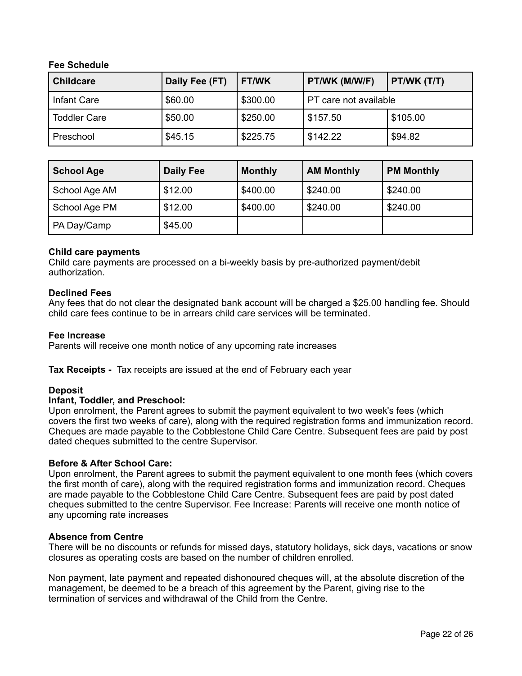## **Fee Schedule**

| <b>Childcare</b>    | Daily Fee (FT) | <b>FT/WK</b> | PT/WK (M/W/F)         | PT/WK (T/T) |
|---------------------|----------------|--------------|-----------------------|-------------|
| Infant Care         | \$60.00        | \$300.00     | PT care not available |             |
| <b>Toddler Care</b> | \$50.00        | \$250.00     | \$157.50              | \$105.00    |
| Preschool           | \$45.15        | \$225.75     | \$142.22              | \$94.82     |

| <b>School Age</b> | <b>Daily Fee</b> | <b>Monthly</b> | <b>AM Monthly</b> | <b>PM Monthly</b> |
|-------------------|------------------|----------------|-------------------|-------------------|
| School Age AM     | \$12.00          | \$400.00       | \$240.00          | \$240.00          |
| School Age PM     | \$12.00          | \$400.00       | \$240.00          | \$240.00          |
| PA Day/Camp       | \$45.00          |                |                   |                   |

### **Child care payments**

Child care payments are processed on a bi-weekly basis by pre-authorized payment/debit authorization.

#### **Declined Fees**

Any fees that do not clear the designated bank account will be charged a \$25.00 handling fee. Should child care fees continue to be in arrears child care services will be terminated.

#### **Fee Increase**

Parents will receive one month notice of any upcoming rate increases

**Tax Receipts -** Tax receipts are issued at the end of February each year

#### **Deposit**

#### **Infant, Toddler, and Preschool:**

Upon enrolment, the Parent agrees to submit the payment equivalent to two week's fees (which covers the first two weeks of care), along with the required registration forms and immunization record. Cheques are made payable to the Cobblestone Child Care Centre. Subsequent fees are paid by post dated cheques submitted to the centre Supervisor.

### **Before & After School Care:**

Upon enrolment, the Parent agrees to submit the payment equivalent to one month fees (which covers the first month of care), along with the required registration forms and immunization record. Cheques are made payable to the Cobblestone Child Care Centre. Subsequent fees are paid by post dated cheques submitted to the centre Supervisor. Fee Increase: Parents will receive one month notice of any upcoming rate increases

#### **Absence from Centre**

There will be no discounts or refunds for missed days, statutory holidays, sick days, vacations or snow closures as operating costs are based on the number of children enrolled.

Non payment, late payment and repeated dishonoured cheques will, at the absolute discretion of the management, be deemed to be a breach of this agreement by the Parent, giving rise to the termination of services and withdrawal of the Child from the Centre.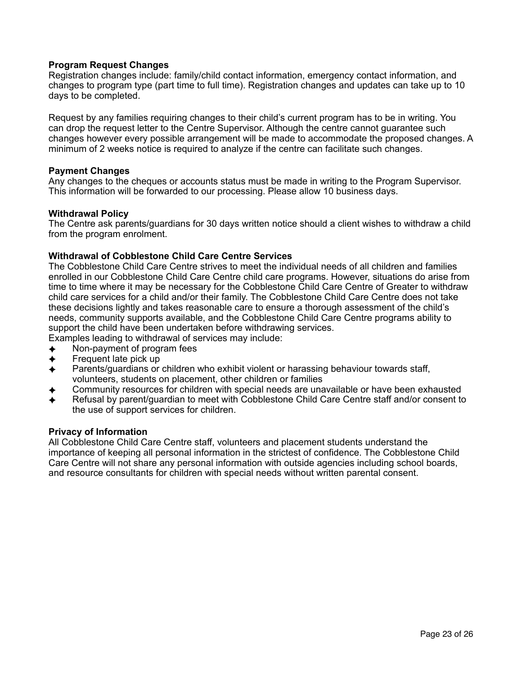## **Program Request Changes**

Registration changes include: family/child contact information, emergency contact information, and changes to program type (part time to full time). Registration changes and updates can take up to 10 days to be completed.

Request by any families requiring changes to their child's current program has to be in writing. You can drop the request letter to the Centre Supervisor. Although the centre cannot guarantee such changes however every possible arrangement will be made to accommodate the proposed changes. A minimum of 2 weeks notice is required to analyze if the centre can facilitate such changes.

#### **Payment Changes**

Any changes to the cheques or accounts status must be made in writing to the Program Supervisor. This information will be forwarded to our processing. Please allow 10 business days.

#### **Withdrawal Policy**

The Centre ask parents/guardians for 30 days written notice should a client wishes to withdraw a child from the program enrolment.

### **Withdrawal of Cobblestone Child Care Centre Services**

The Cobblestone Child Care Centre strives to meet the individual needs of all children and families enrolled in our Cobblestone Child Care Centre child care programs. However, situations do arise from time to time where it may be necessary for the Cobblestone Child Care Centre of Greater to withdraw child care services for a child and/or their family. The Cobblestone Child Care Centre does not take these decisions lightly and takes reasonable care to ensure a thorough assessment of the child's needs, community supports available, and the Cobblestone Child Care Centre programs ability to support the child have been undertaken before withdrawing services.

- Examples leading to withdrawal of services may include:
- ✦ Non-payment of program fees
- Frequent late pick up
- ✦ Parents/guardians or children who exhibit violent or harassing behaviour towards staff, volunteers, students on placement, other children or families
- ✦ Community resources for children with special needs are unavailable or have been exhausted
- Refusal by parent/quardian to meet with Cobblestone Child Care Centre staff and/or consent to the use of support services for children.

#### **Privacy of Information**

All Cobblestone Child Care Centre staff, volunteers and placement students understand the importance of keeping all personal information in the strictest of confidence. The Cobblestone Child Care Centre will not share any personal information with outside agencies including school boards, and resource consultants for children with special needs without written parental consent.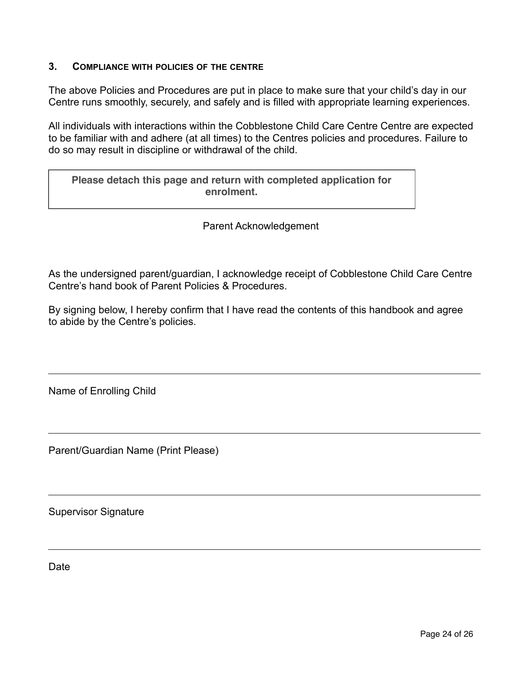## **3. COMPLIANCE WITH POLICIES OF THE CENTRE**

The above Policies and Procedures are put in place to make sure that your child's day in our Centre runs smoothly, securely, and safely and is filled with appropriate learning experiences.

All individuals with interactions within the Cobblestone Child Care Centre Centre are expected to be familiar with and adhere (at all times) to the Centres policies and procedures. Failure to do so may result in discipline or withdrawal of the child.

|            |  |  |  | Please detach this page and return with completed application for |
|------------|--|--|--|-------------------------------------------------------------------|
| enrolment. |  |  |  |                                                                   |

Parent Acknowledgement

As the undersigned parent/guardian, I acknowledge receipt of Cobblestone Child Care Centre Centre's hand book of Parent Policies & Procedures.

By signing below, I hereby confirm that I have read the contents of this handbook and agree to abide by the Centre's policies.

Name of Enrolling Child

Parent/Guardian Name (Print Please)

Supervisor Signature

Date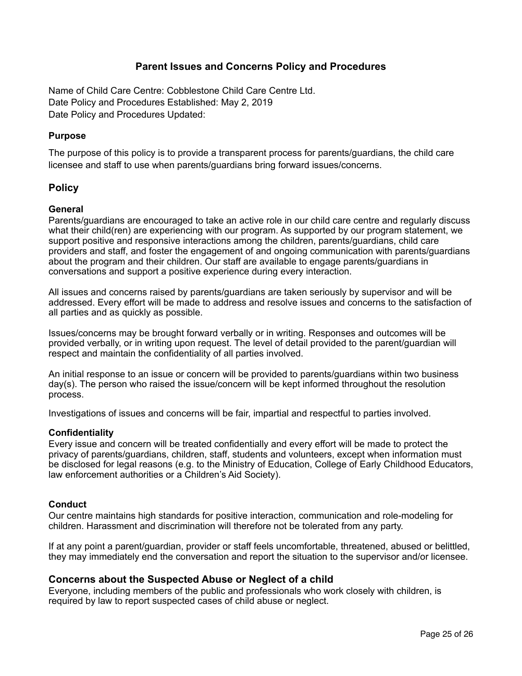## **Parent Issues and Concerns Policy and Procedures**

Name of Child Care Centre: Cobblestone Child Care Centre Ltd. Date Policy and Procedures Established: May 2, 2019 Date Policy and Procedures Updated:

## **Purpose**

The purpose of this policy is to provide a transparent process for parents/guardians, the child care licensee and staff to use when parents/guardians bring forward issues/concerns.

## **Policy**

### **General**

Parents/guardians are encouraged to take an active role in our child care centre and regularly discuss what their child(ren) are experiencing with our program. As supported by our program statement, we support positive and responsive interactions among the children, parents/guardians, child care providers and staff, and foster the engagement of and ongoing communication with parents/guardians about the program and their children. Our staff are available to engage parents/guardians in conversations and support a positive experience during every interaction.

All issues and concerns raised by parents/guardians are taken seriously by supervisor and will be addressed. Every effort will be made to address and resolve issues and concerns to the satisfaction of all parties and as quickly as possible.

Issues/concerns may be brought forward verbally or in writing. Responses and outcomes will be provided verbally, or in writing upon request. The level of detail provided to the parent/guardian will respect and maintain the confidentiality of all parties involved.

An initial response to an issue or concern will be provided to parents/guardians within two business day(s). The person who raised the issue/concern will be kept informed throughout the resolution process.

Investigations of issues and concerns will be fair, impartial and respectful to parties involved.

### **Confidentiality**

Every issue and concern will be treated confidentially and every effort will be made to protect the privacy of parents/guardians, children, staff, students and volunteers, except when information must be disclosed for legal reasons (e.g. to the Ministry of Education, College of Early Childhood Educators, law enforcement authorities or a Children's Aid Society).

### **Conduct**

Our centre maintains high standards for positive interaction, communication and role-modeling for children. Harassment and discrimination will therefore not be tolerated from any party.

If at any point a parent/guardian, provider or staff feels uncomfortable, threatened, abused or belittled, they may immediately end the conversation and report the situation to the supervisor and/or licensee.

### **Concerns about the Suspected Abuse or Neglect of a child**

Everyone, including members of the public and professionals who work closely with children, is required by law to report suspected cases of child abuse or neglect.